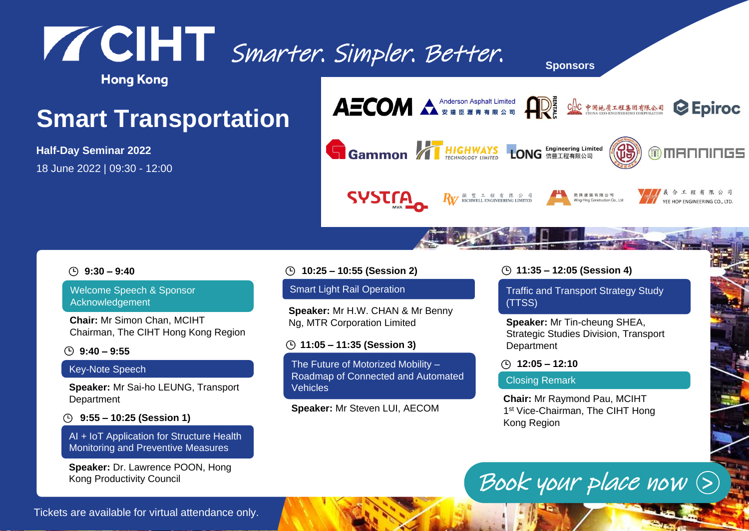## Smarter. Simpler. Better. **Sponsors**

**Hong Kong** 

## **Smart Transportation**

**Half-Day Seminar 2022** 18 June 2022 | 09:30 - 12:00



### **9:30 – 9:40**

Welcome Speech & Sponsor Acknowledgement

**Chair:** Mr Simon Chan, MCIHT Chairman, The CIHT Hong Kong Region

### **9:40 – 9:55**

### Key-Note Speech

**Speaker:** Mr Sai-ho LEUNG, Transport **Department** 

**9:55 – 10:25 (Session 1)**

AI + IoT Application for Structure Health Monitoring and Preventive Measures

**Speaker:** Dr. Lawrence POON, Hong Kong Productivity Council

### **10:25 – 10:55 (Session 2)**

### Smart Light Rail Operation

**Speaker:** Mr H.W. CHAN & Mr Benny Ng, MTR Corporation Limited

### **11:05 – 11:35 (Session 3)**

The Future of Motorized Mobility – Roadmap of Connected and Automated Vehicles

Smarter. Simpler. Simpler. Simpler. Better. Simpler. Simpler. Simpler. Simpler. Simpler. Simpler. Simpler. Simpler. Simpler. Simpler. Simpler. Simpler. Simpler. Simpler. Simpler. Simpler. Simpler. Simpler. Simpler. Simpler

**Speaker:** Mr Steven LUI, AECOM

### **11:35 – 12:05 (Session 4)**

Traffic and Transport Strategy Study (TTSS)

**Speaker:** Mr Tin-cheung SHEA, Strategic Studies Division, Transport **Department** 

**12:05 – 12:10**

### Closing Remark

**Chair:** Mr Raymond Pau, MCIHT 1<sup>st</sup> Vice-Chairman, The CIHT Hong Kong Region

# [Book your place now](https://us02web.zoom.us/webinar/register/WN_S8txYdb5SVmP63TubxYhqg)  $\odot$

Tickets are available for virtual attendance only.